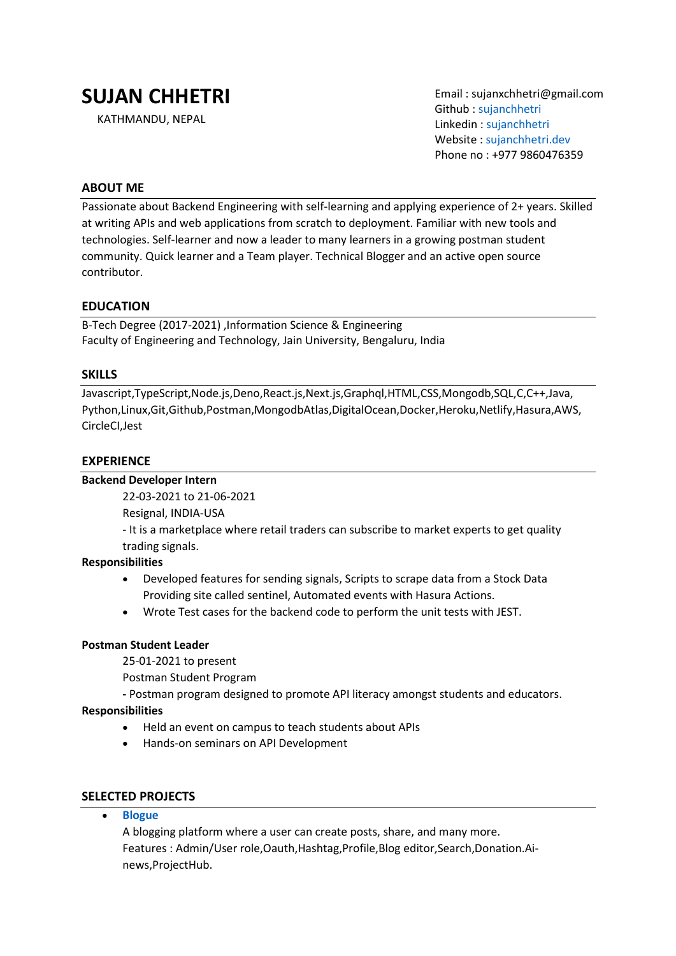# **SUJAN CHHETRI**

KATHMANDU, NEPAL

Email : sujanxchhetri@gmail.com Github : [sujanchhetri](https://github.com/sujanchhetri) Linkedin : [sujanchhetri](https://www.linkedin.com/in/sujjjan/) Website : [sujanchhetri.dev](https://sujanchhetri.dev/) Phone no : +977 9860476359

# **ABOUT ME**

Passionate about Backend Engineering with self-learning and applying experience of 2+ years. Skilled at writing APIs and web applications from scratch to deployment. Familiar with new tools and technologies. Self-learner and now a leader to many learners in a growing postman student community. Quick learner and a Team player. Technical Blogger and an active open source contributor.

## **EDUCATION**

B-Tech Degree (2017-2021) ,Information Science & Engineering Faculty of Engineering and Technology, Jain University, Bengaluru, India

#### **SKILLS**

Javascript,TypeScript,Node.js,Deno,React.js,Next.js,Graphql,HTML,CSS,Mongodb,SQL,C,C++,Java, Python,Linux,Git,Github,Postman,MongodbAtlas,DigitalOcean,Docker,Heroku,Netlify,Hasura,AWS, CircleCI,Jest

## **EXPERIENCE**

#### **Backend Developer Intern**

22-03-2021 to 21-06-2021

Resignal, INDIA-USA

- It is a marketplace where retail traders can subscribe to market experts to get quality trading signals.

#### **Responsibilities**

- Developed features for sending signals, Scripts to scrape data from a Stock Data Providing site called sentinel, Automated events with Hasura Actions.
- Wrote Test cases for the backend code to perform the unit tests with JEST.

#### **Postman Student Leader**

25-01-2021 to present

Postman Student Program

**-** Postman program designed to promote API literacy amongst students and educators.

# **Responsibilities**

- Held an event on campus to teach students about APIs
- Hands-on seminars on API Development

# **SELECTED PROJECTS**

• **[Blogue](https://blogue.tech/)**

A blogging platform where a user can create posts, share, and many more. Features : Admin/User role,Oauth,Hashtag,Profile,Blog editor,Search,Donation.Ainews,ProjectHub.